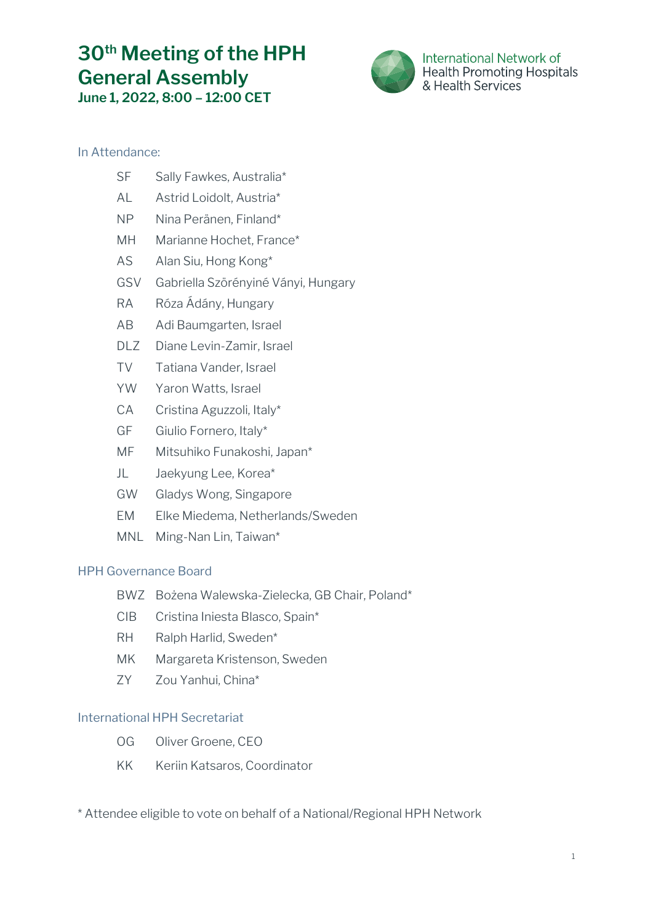# **30th Meeting of the HPH General Assembly June 1, 2022, 8:00 – 12:00 CET**



International Network of **Health Promoting Hospitals** & Health Services

# In Attendance:

- SF Sally Fawkes, Australia\*
- AL Astrid Loidolt, Austria\*
- NP Nina Peränen, Finland\*
- MH Marianne Hochet, France\*
- AS Alan Siu, Hong Kong\*
- GSV Gabriella Szörényiné Ványi, Hungary
- RA Róza Ádány, Hungary
- AB Adi Baumgarten, Israel
- DLZ Diane Levin-Zamir, Israel
- TV Tatiana Vander, Israel
- YW Yaron Watts, Israel
- CA Cristina Aguzzoli, Italy\*
- GF Giulio Fornero, Italy\*
- MF Mitsuhiko Funakoshi, Japan\*
- JL Jaekyung Lee, Korea\*
- GW Gladys Wong, Singapore
- EM Elke Miedema, Netherlands/Sweden
- MNL Ming-Nan Lin, Taiwan\*

# HPH Governance Board

- BWZ Bożena Walewska-Zielecka, GB Chair, Poland\*
- CIB Cristina Iniesta Blasco, Spain\*
- RH Ralph Harlid, Sweden\*
- MK Margareta Kristenson, Sweden
- ZY Zou Yanhui, China\*

# International HPH Secretariat

- OG Oliver Groene, CEO
- KK Keriin Katsaros, Coordinator

\* Attendee eligible to vote on behalf of a National/Regional HPH Network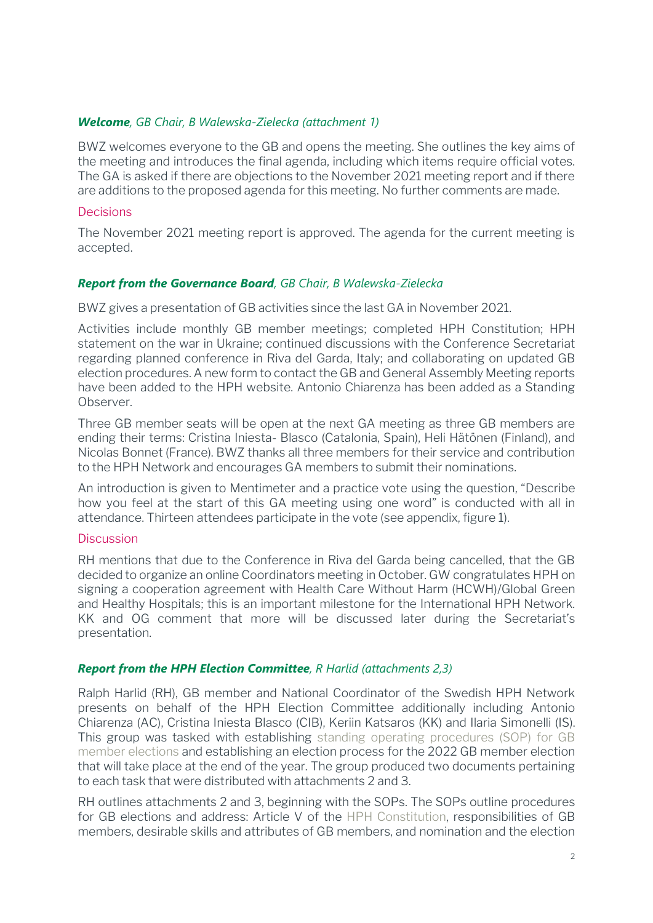#### *Welcome, GB Chair, B Walewska-Zielecka (attachment 1)*

BWZ welcomes everyone to the GB and opens the meeting. She outlines the key aims of the meeting and introduces the final agenda, including which items require official votes. The GA is asked if there are objections to the November 2021 meeting report and if there are additions to the proposed agenda for this meeting. No further comments are made.

#### **Decisions**

The November 2021 meeting report is approved. The agenda for the current meeting is accepted.

## *Report from the Governance Board, GB Chair, B Walewska-Zielecka*

BWZ gives a presentation of GB activities since the last GA in November 2021.

Activities include monthly GB member meetings; completed HPH Constitution; HPH statement on the war in Ukraine; continued discussions with the Conference Secretariat regarding planned conference in Riva del Garda, Italy; and collaborating on updated GB election procedures. A new form to contact the GB and General Assembly Meeting reports have been added to the HPH website. Antonio Chiarenza has been added as a Standing Observer.

Three GB member seats will be open at the next GA meeting as three GB members are ending their terms: Cristina Iniesta- Blasco (Catalonia, Spain), Heli Hätönen (Finland), and Nicolas Bonnet (France). BWZ thanks all three members for their service and contribution to the HPH Network and encourages GA members to submit their nominations.

An introduction is given to Mentimeter and a practice vote using the question, "Describe how you feel at the start of this GA meeting using one word" is conducted with all in attendance. Thirteen attendees participate in the vote (see appendix, figure 1).

#### Discussion

RH mentions that due to the Conference in Riva del Garda being cancelled, that the GB decided to organize an online Coordinators meeting in October. GW congratulates HPH on signing a cooperation agreement with Health Care Without Harm (HCWH)/Global Green and Healthy Hospitals; this is an important milestone for the International HPH Network. KK and OG comment that more will be discussed later during the Secretariat's presentation.

## *Report from the HPH Election Committee, R Harlid (attachments 2,3)*

Ralph Harlid (RH), GB member and National Coordinator of the Swedish HPH Network presents on behalf of the HPH Election Committee additionally including Antonio Chiarenza (AC), Cristina Iniesta Blasco (CIB), Keriin Katsaros (KK) and Ilaria Simonelli (IS). This group was tasked with establishing [standing operating procedures \(SOP\) for GB](https://www.hphnet.org/wp-content/uploads/2022/06/SOPs-GB-Election-procedure_HPH-20220601.pdf)  [member elections](https://www.hphnet.org/wp-content/uploads/2022/06/SOPs-GB-Election-procedure_HPH-20220601.pdf) and establishing an election process for the 2022 GB member election that will take place at the end of the year. The group produced two documents pertaining to each task that were distributed with attachments 2 and 3.

RH outlines attachments 2 and 3, beginning with the SOPs. The SOPs outline procedures for GB elections and address: Article V of the [HPH Constitution,](https://www.hphnet.org/wp-content/uploads/2022/01/HPH-Constitution-19-Nov.-2021-.pdf) responsibilities of GB members, desirable skills and attributes of GB members, and nomination and the election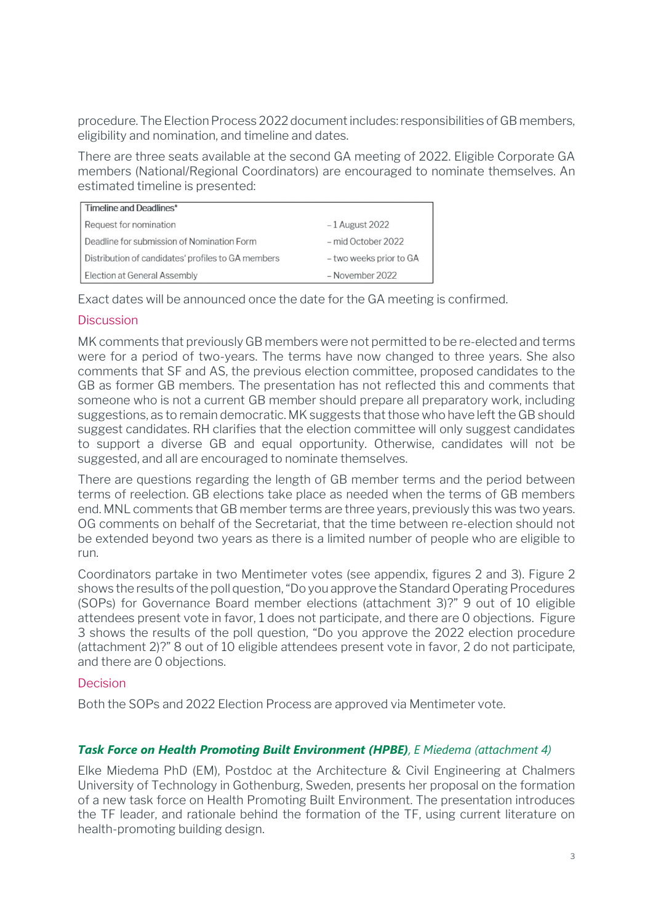procedure. The Election Process 2022 documentincludes: responsibilities of GB members, eligibility and nomination, and timeline and dates.

There are three seats available at the second GA meeting of 2022. Eligible Corporate GA members (National/Regional Coordinators) are encouraged to nominate themselves. An estimated timeline is presented:

| Timeline and Deadlines*                            |                         |
|----------------------------------------------------|-------------------------|
| Request for nomination                             | $-1$ August 2022        |
| Deadline for submission of Nomination Form         | - mid October 2022      |
| Distribution of candidates' profiles to GA members | - two weeks prior to GA |
| Election at General Assembly                       | - November 2022         |

Exact dates will be announced once the date for the GA meeting is confirmed.

# **Discussion**

MK comments that previously GB members were not permitted to be re-elected and terms were for a period of two-years. The terms have now changed to three years. She also comments that SF and AS, the previous election committee, proposed candidates to the GB as former GB members. The presentation has not reflected this and comments that someone who is not a current GB member should prepare all preparatory work, including suggestions, as to remain democratic. MK suggests that those who have left the GB should suggest candidates. RH clarifies that the election committee will only suggest candidates to support a diverse GB and equal opportunity. Otherwise, candidates will not be suggested, and all are encouraged to nominate themselves.

There are questions regarding the length of GB member terms and the period between terms of reelection. GB elections take place as needed when the terms of GB members end. MNL comments that GB member terms are three years, previously this was two years. OG comments on behalf of the Secretariat, that the time between re-election should not be extended beyond two years as there is a limited number of people who are eligible to run.

Coordinators partake in two Mentimeter votes (see appendix, figures 2 and 3). Figure 2 shows the results of the poll question, "Do you approve the Standard Operating Procedures (SOPs) for Governance Board member elections (attachment 3)?" 9 out of 10 eligible attendees present vote in favor, 1 does not participate, and there are 0 objections. Figure 3 shows the results of the poll question, "Do you approve the 2022 election procedure (attachment 2)?" 8 out of 10 eligible attendees present vote in favor, 2 do not participate, and there are 0 objections.

## Decision

Both the SOPs and 2022 Election Process are approved via Mentimeter vote.

## *Task Force on Health Promoting Built Environment (HPBE), E Miedema (attachment 4)*

Elke Miedema PhD (EM), Postdoc at the Architecture & Civil Engineering at Chalmers University of Technology in Gothenburg, Sweden, presents her proposal on the formation of a new task force on Health Promoting Built Environment. The presentation introduces the TF leader, and rationale behind the formation of the TF, using current literature on health-promoting building design.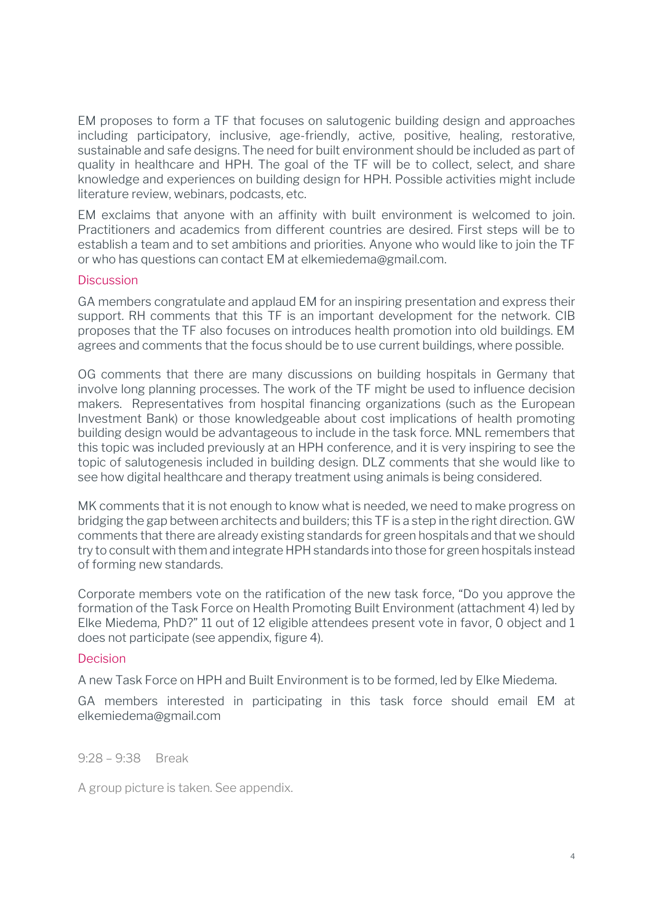EM proposes to form a TF that focuses on salutogenic building design and approaches including participatory, inclusive, age-friendly, active, positive, healing, restorative, sustainable and safe designs. The need for built environment should be included as part of quality in healthcare and HPH. The goal of the TF will be to collect, select, and share knowledge and experiences on building design for HPH. Possible activities might include literature review, webinars, podcasts, etc.

EM exclaims that anyone with an affinity with built environment is welcomed to join. Practitioners and academics from different countries are desired. First steps will be to establish a team and to set ambitions and priorities. Anyone who would like to join the TF or who has questions can contact EM at elkemiedema@gmail.com.

#### **Discussion**

GA members congratulate and applaud EM for an inspiring presentation and express their support. RH comments that this TF is an important development for the network. CIB proposes that the TF also focuses on introduces health promotion into old buildings. EM agrees and comments that the focus should be to use current buildings, where possible.

OG comments that there are many discussions on building hospitals in Germany that involve long planning processes. The work of the TF might be used to influence decision makers. Representatives from hospital financing organizations (such as the European Investment Bank) or those knowledgeable about cost implications of health promoting building design would be advantageous to include in the task force. MNL remembers that this topic was included previously at an HPH conference, and it is very inspiring to see the topic of salutogenesis included in building design. DLZ comments that she would like to see how digital healthcare and therapy treatment using animals is being considered.

MK comments that it is not enough to know what is needed, we need to make progress on bridging the gap between architects and builders; this TF is a step in the right direction. GW comments that there are already existing standards for green hospitals and that we should try to consult with them and integrate HPH standards into those for green hospitals instead of forming new standards.

Corporate members vote on the ratification of the new task force, "Do you approve the formation of the Task Force on Health Promoting Built Environment (attachment 4) led by Elke Miedema, PhD?" 11 out of 12 eligible attendees present vote in favor, 0 object and 1 does not participate (see appendix, figure 4).

## **Decision**

A new Task Force on HPH and Built Environment is to be formed, led by Elke Miedema.

GA members interested in participating in this task force should email EM at [elkemiedema@gmail.com](mailto:elkemiedema@gmail.com)

#### 9:28 – 9:38 Break

A group picture is taken. See appendix.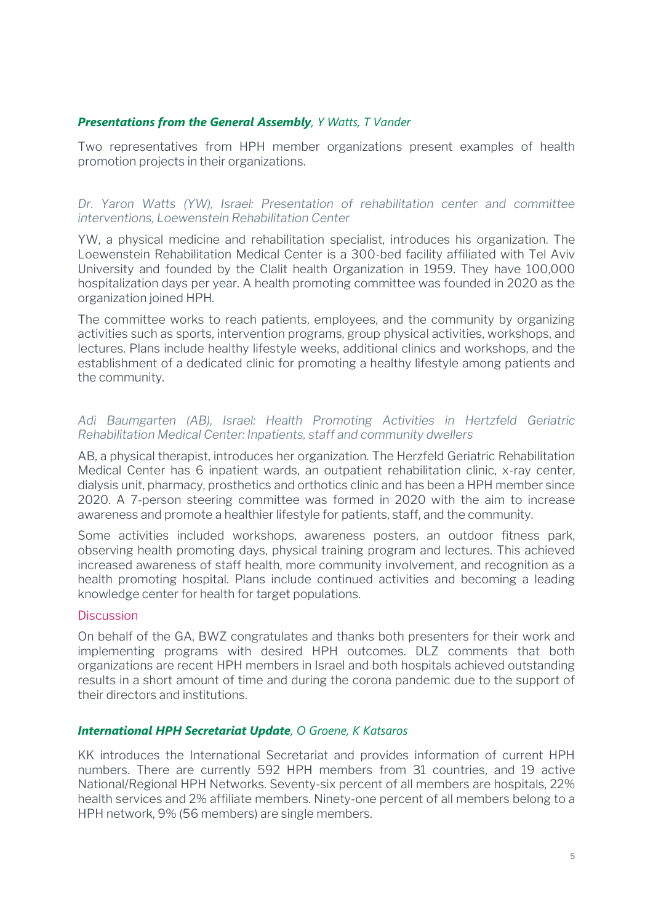#### *Presentations from the General Assembly, Y Watts, T Vander*

Two representatives from HPH member organizations present examples of health promotion projects in their organizations.

*Dr. Yaron Watts (YW), Israel: Presentation of rehabilitation center and committee interventions, Loewenstein Rehabilitation Center*

YW, a physical medicine and rehabilitation specialist, introduces his organization. The Loewenstein Rehabilitation Medical Center is a 300-bed facility affiliated with Tel Aviv University and founded by the Clalit health Organization in 1959. They have 100,000 hospitalization days per year. A health promoting committee was founded in 2020 as the organization joined HPH.

The committee works to reach patients, employees, and the community by organizing activities such as sports, intervention programs, group physical activities, workshops, and lectures. Plans include healthy lifestyle weeks, additional clinics and workshops, and the establishment of a dedicated clinic for promoting a healthy lifestyle among patients and the community.

#### *Adi Baumgarten (AB), Israel: Health Promoting Activities in Hertzfeld Geriatric Rehabilitation Medical Center: Inpatients, staff and community dwellers*

AB, a physical therapist, introduces her organization. The Herzfeld Geriatric Rehabilitation Medical Center has 6 inpatient wards, an outpatient rehabilitation clinic, x-ray center, dialysis unit, pharmacy, prosthetics and orthotics clinic and has been a HPH member since 2020. A 7-person steering committee was formed in 2020 with the aim to increase awareness and promote a healthier lifestyle for patients, staff, and the community.

Some activities included workshops, awareness posters, an outdoor fitness park, observing health promoting days, physical training program and lectures. This achieved increased awareness of staff health, more community involvement, and recognition as a health promoting hospital. Plans include continued activities and becoming a leading knowledge center for health for target populations.

#### **Discussion**

On behalf of the GA, BWZ congratulates and thanks both presenters for their work and implementing programs with desired HPH outcomes. DLZ comments that both organizations are recent HPH members in Israel and both hospitals achieved outstanding results in a short amount of time and during the corona pandemic due to the support of their directors and institutions.

#### *International HPH Secretariat Update, O Groene, K Katsaros*

KK introduces the International Secretariat and provides information of current HPH numbers. There are currently 592 HPH members from 31 countries, and 19 active National/Regional HPH Networks. Seventy-six percent of all members are hospitals, 22% health services and 2% affiliate members. Ninety-one percent of all members belong to a HPH network, 9% (56 members) are single members.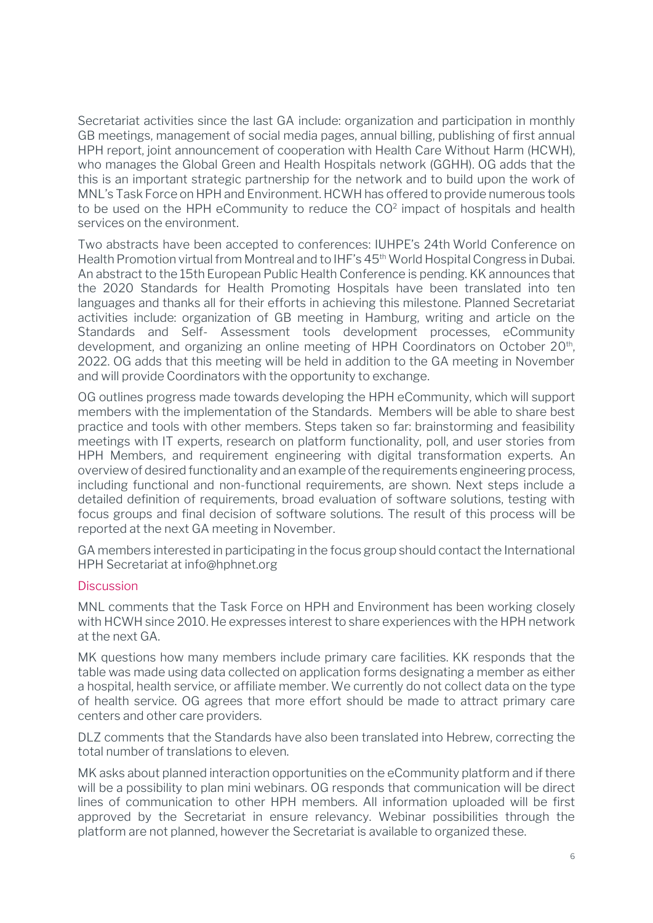Secretariat activities since the last GA include: organization and participation in monthly GB meetings, management of social media pages, annual billing, publishing of first annual HPH report, joint announcement of cooperation with Health Care Without Harm (HCWH), who manages the Global Green and Health Hospitals network (GGHH). OG adds that the this is an important strategic partnership for the network and to build upon the work of MNL's Task Force on HPH and Environment. HCWH has offered to provide numerous tools to be used on the HPH eCommunity to reduce the  $CO<sup>2</sup>$  impact of hospitals and health services on the environment.

Two abstracts have been accepted to conferences: IUHPE's 24th World Conference on Health Promotion virtual from Montreal and to IHF's 45<sup>th</sup> World Hospital Congress in Dubai. An abstract to the 15th European Public Health Conference is pending. KK announces that the 2020 Standards for Health Promoting Hospitals have been translated into ten languages and thanks all for their efforts in achieving this milestone. Planned Secretariat activities include: organization of GB meeting in Hamburg, writing and article on the Standards and Self- Assessment tools development processes, eCommunity development, and organizing an online meeting of HPH Coordinators on October 20<sup>th</sup>, 2022. OG adds that this meeting will be held in addition to the GA meeting in November and will provide Coordinators with the opportunity to exchange.

OG outlines progress made towards developing the HPH eCommunity, which will support members with the implementation of the Standards. Members will be able to share best practice and tools with other members. Steps taken so far: brainstorming and feasibility meetings with IT experts, research on platform functionality, poll, and user stories from HPH Members, and requirement engineering with digital transformation experts. An overview of desired functionality and an example of the requirements engineering process, including functional and non-functional requirements, are shown. Next steps include a detailed definition of requirements, broad evaluation of software solutions, testing with focus groups and final decision of software solutions. The result of this process will be reported at the next GA meeting in November.

GA members interested in participating in the focus group should contact the International HPH Secretariat at info@hphnet.org

#### **Discussion**

MNL comments that the Task Force on HPH and Environment has been working closely with HCWH since 2010. He expresses interest to share experiences with the HPH network at the next GA.

MK questions how many members include primary care facilities. KK responds that the table was made using data collected on application forms designating a member as either a hospital, health service, or affiliate member. We currently do not collect data on the type of health service. OG agrees that more effort should be made to attract primary care centers and other care providers.

DLZ comments that the Standards have also been translated into Hebrew, correcting the total number of translations to eleven.

MK asks about planned interaction opportunities on the eCommunity platform and if there will be a possibility to plan mini webinars. OG responds that communication will be direct lines of communication to other HPH members. All information uploaded will be first approved by the Secretariat in ensure relevancy. Webinar possibilities through the platform are not planned, however the Secretariat is available to organized these.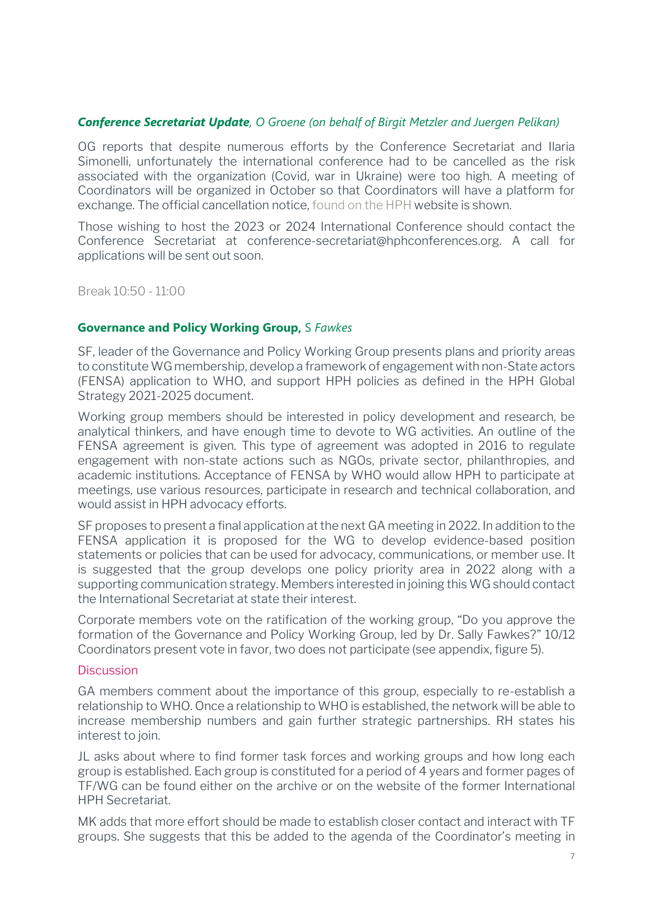#### *Conference Secretariat Update, O Groene (on behalf of Birgit Metzler and Juergen Pelikan)*

OG reports that despite numerous efforts by the Conference Secretariat and Ilaria Simonelli, unfortunately the international conference had to be cancelled as the risk associated with the organization (Covid, war in Ukraine) were too high. A meeting of Coordinators will be organized in October so that Coordinators will have a platform for exchange. The official cancellation notice[, found on the HPH](https://www.hphnet.org/hph-events/3240/) website is shown.

Those wishing to host the 2023 or 2024 International Conference should contact the Conference Secretariat at conference-secretariat@hphconferences.org. A call for applications will be sent out soon.

Break 10:50 - 11:00

#### **Governance and Policy Working Group,** S *Fawkes*

SF, leader of the Governance and Policy Working Group presents plans and priority areas to constitute WG membership, develop a framework of engagement with non-State actors (FENSA) application to WHO, and support HPH policies as defined in the HPH Global Strategy 2021-2025 document.

Working group members should be interested in policy development and research, be analytical thinkers, and have enough time to devote to WG activities. An outline of the FENSA agreement is given. This type of agreement was adopted in 2016 to regulate engagement with non-state actions such as NGOs, private sector, philanthropies, and academic institutions. Acceptance of FENSA by WHO would allow HPH to participate at meetings, use various resources, participate in research and technical collaboration, and would assist in HPH advocacy efforts.

SF proposes to present a final application at the next GA meeting in 2022. In addition to the FENSA application it is proposed for the WG to develop evidence-based position statements or policies that can be used for advocacy, communications, or member use. It is suggested that the group develops one policy priority area in 2022 along with a supporting communication strategy. Members interested in joining this WG should contact the International Secretariat at state their interest.

Corporate members vote on the ratification of the working group, "Do you approve the formation of the Governance and Policy Working Group, led by Dr. Sally Fawkes?" 10/12 Coordinators present vote in favor, two does not participate (see appendix, figure 5).

#### **Discussion**

GA members comment about the importance of this group, especially to re-establish a relationship to WHO. Once a relationship to WHO is established, the network will be able to increase membership numbers and gain further strategic partnerships. RH states his interest to join.

JL asks about where to find former task forces and working groups and how long each group is established. Each group is constituted for a period of 4 years and former pages of TF/WG can be found either on the [archive](https://www.hphnet.org/completed-hph-task-force-and-working-groups/) or on the [website](http://www.hphnet.org/alteVersion/www.hphnet.org/taskforce.html) of the former International HPH Secretariat.

MK adds that more effort should be made to establish closer contact and interact with TF groups. She suggests that this be added to the agenda of the Coordinator's meeting in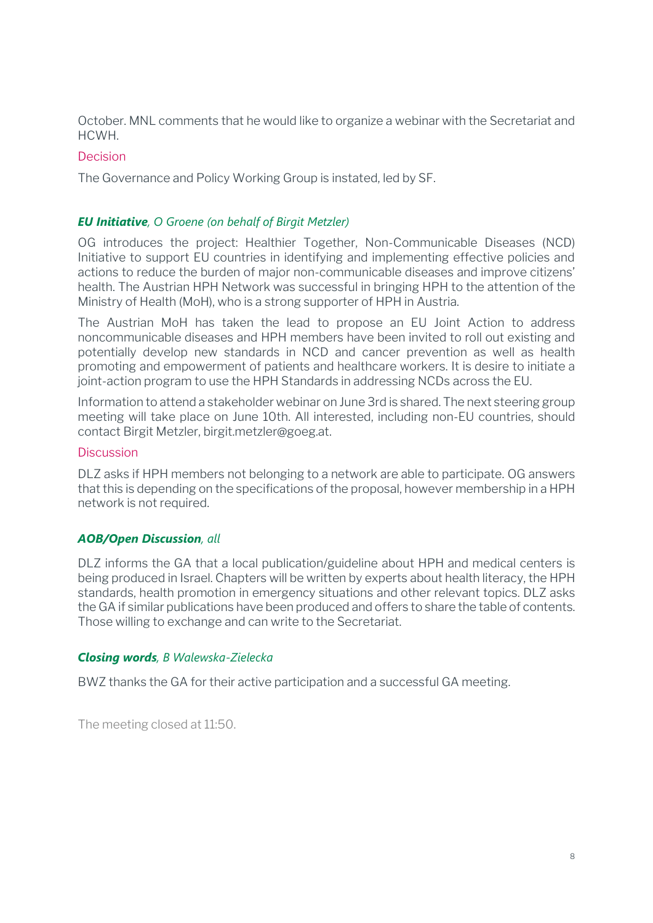October. MNL comments that he would like to organize a webinar with the Secretariat and HCWH.

## **Decision**

The Governance and Policy Working Group is instated, led by SF.

## *EU Initiative, O Groene (on behalf of Birgit Metzler)*

OG introduces the project: Healthier Together, Non-Communicable Diseases (NCD) Initiative to support EU countries in identifying and implementing effective policies and actions to reduce the burden of major non-communicable diseases and improve citizens' health. The Austrian HPH Network was successful in bringing HPH to the attention of the Ministry of Health (MoH), who is a strong supporter of HPH in Austria.

The Austrian MoH has taken the lead to propose an EU Joint Action to address noncommunicable diseases and HPH members have been invited to roll out existing and potentially develop new standards in NCD and cancer prevention as well as health promoting and empowerment of patients and healthcare workers. It is desire to initiate a joint-action program to use the HPH Standards in addressing NCDs across the EU.

Information to attend a stakeholder webinar on June 3rd is shared. The next steering group meeting will take place on June 10th. All interested, including non-EU countries, should contact Birgit Metzler, birgit.metzler@goeg.at.

#### **Discussion**

DLZ asks if HPH members not belonging to a network are able to participate. OG answers that this is depending on the specifications of the proposal, however membership in a HPH network is not required.

## *AOB/Open Discussion, all*

DLZ informs the GA that a local publication/guideline about HPH and medical centers is being produced in Israel. Chapters will be written by experts about health literacy, the HPH standards, health promotion in emergency situations and other relevant topics. DLZ asks the GA if similar publications have been produced and offers to share the table of contents. Those willing to exchange and can write to the Secretariat.

## *Closing words, B Walewska-Zielecka*

BWZ thanks the GA for their active participation and a successful GA meeting.

The meeting closed at 11:50.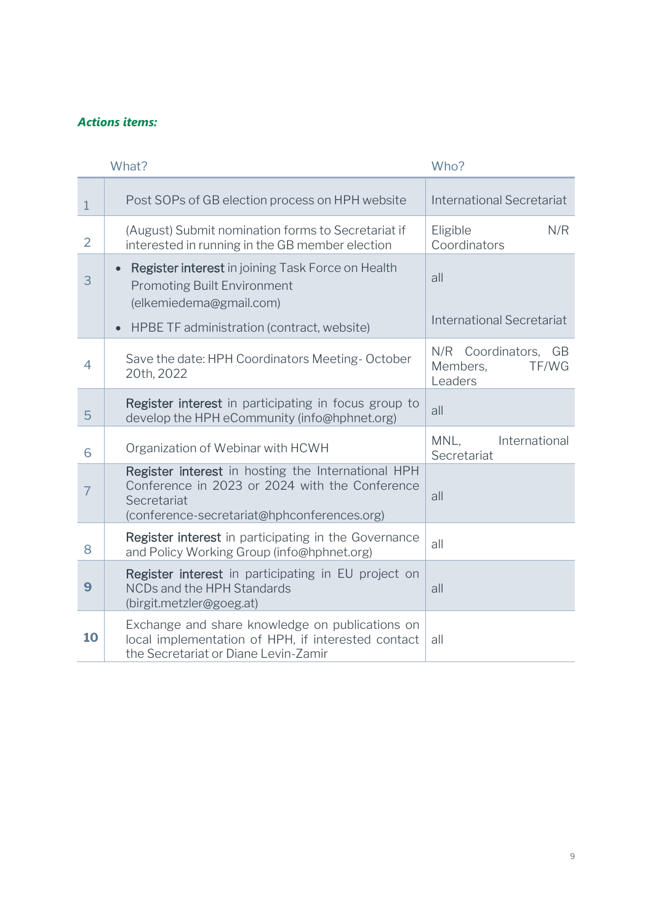## *Actions items:*

|                | What?                                                                                                                                                              | Who?                                                 |
|----------------|--------------------------------------------------------------------------------------------------------------------------------------------------------------------|------------------------------------------------------|
| $\mathbf{1}$   | Post SOPs of GB election process on HPH website                                                                                                                    | <b>International Secretariat</b>                     |
| $\overline{2}$ | (August) Submit nomination forms to Secretariat if<br>interested in running in the GB member election                                                              | N/R<br>Eligible<br>Coordinators                      |
| 3              | Register interest in joining Task Force on Health<br>$\bullet$<br><b>Promoting Built Environment</b><br>(elkemiedema@gmail.com)                                    | all                                                  |
|                | HPBE TF administration (contract, website)<br>$\bullet$                                                                                                            | <b>International Secretariat</b>                     |
| $\overline{4}$ | Save the date: HPH Coordinators Meeting-October<br>20th, 2022                                                                                                      | N/R Coordinators, GB<br>Members,<br>TF/WG<br>Leaders |
| 5              | Register interest in participating in focus group to<br>develop the HPH eCommunity (info@hphnet.org)                                                               | all                                                  |
| 6              | Organization of Webinar with HCWH                                                                                                                                  | International<br>MNL.<br>Secretariat                 |
| $\overline{7}$ | Register interest in hosting the International HPH<br>Conference in 2023 or 2024 with the Conference<br>Secretariat<br>(conference-secretariat@hphconferences.org) | all                                                  |
| 8              | Register interest in participating in the Governance<br>and Policy Working Group (info@hphnet.org)                                                                 | all                                                  |
| 9              | Register interest in participating in EU project on<br>NCDs and the HPH Standards<br>(birgit.metzler@goeg.at)                                                      | all                                                  |
| 10             | Exchange and share knowledge on publications on<br>local implementation of HPH, if interested contact<br>the Secretariat or Diane Levin-Zamir                      | all                                                  |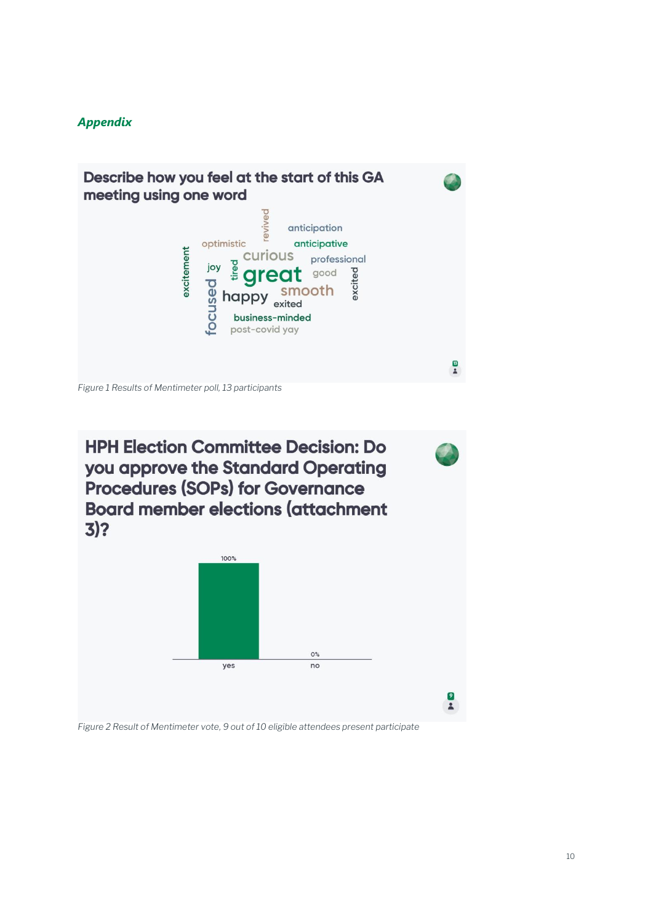## *Appendix*





*Figure 2 Result of Mentimeter vote, 9 out of 10 eligible attendees present participate*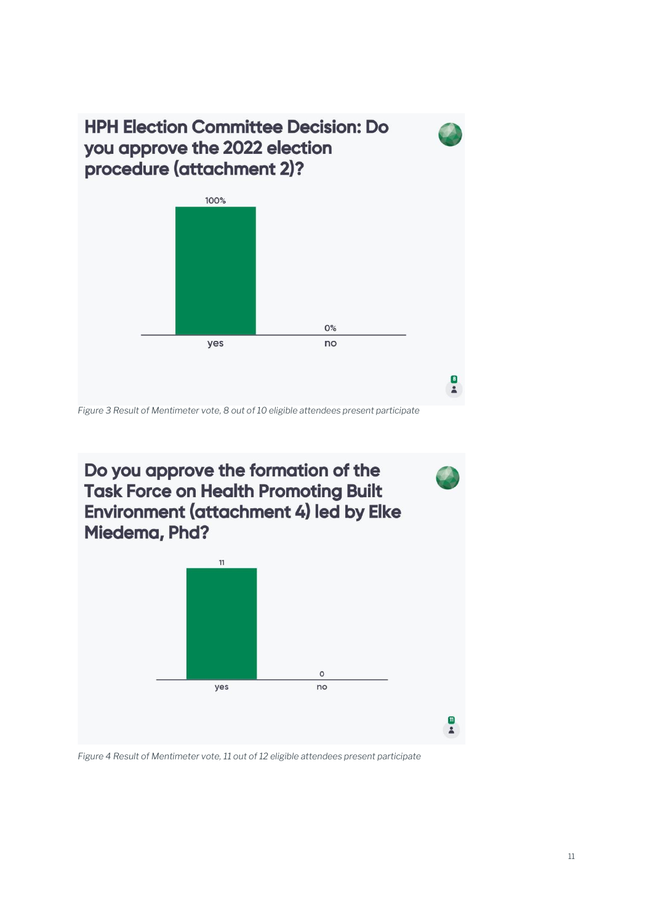



*Figure 4 Result of Mentimeter vote, 11 out of 12 eligible attendees present participate*